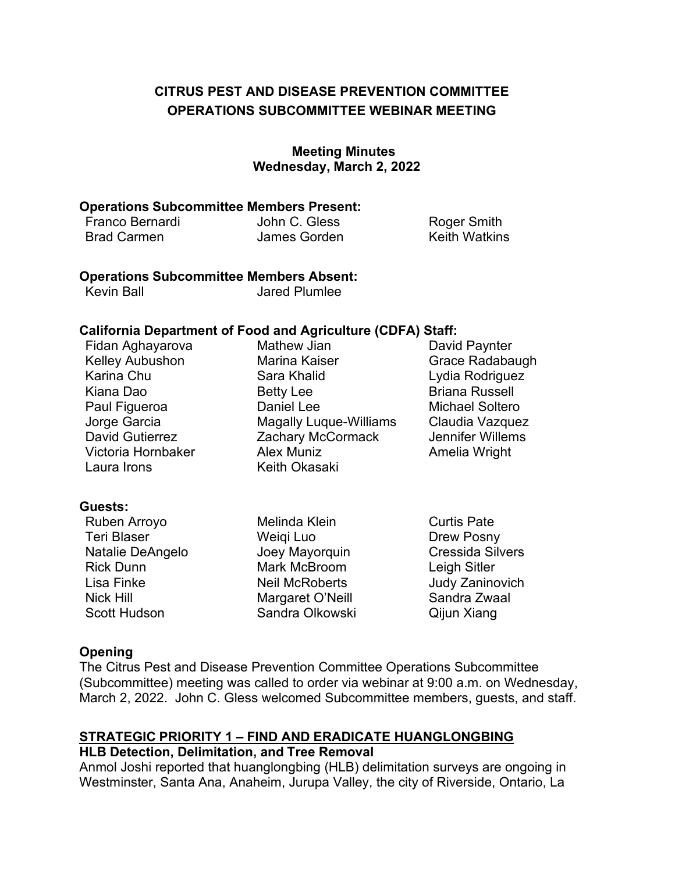## **OPERATIONS SUBCOMMITTEE WEBINAR MEETING CITRUS PEST AND DISEASE PREVENTION COMMITTEE**

#### **Meeting Minutes Wednesday, March 2, 2022**

#### **Operations Subcommittee Members Present:**

| Franco Bernardi    | John C. Gless | <b>Roger Smith</b>   |
|--------------------|---------------|----------------------|
| <b>Brad Carmen</b> | James Gorden  | <b>Keith Watkins</b> |

## **Operations Subcommittee Members Absent:**

| <b>Kevin Ball</b> | Jared Plumlee |
|-------------------|---------------|
|                   |               |

## **California Department of Food and Agriculture (CDFA) Staff:**

| Fidan Aghayarova       | <b>Mathew Jian</b>            | David Paynter          |
|------------------------|-------------------------------|------------------------|
| <b>Kelley Aubushon</b> | <b>Marina Kaiser</b>          | <b>Grace Radabaugh</b> |
| Karina Chu             | Sara Khalid                   | Lydia Rodriguez        |
| Kiana Dao              | <b>Betty Lee</b>              | <b>Briana Russell</b>  |
| Paul Figueroa          | Daniel Lee                    | <b>Michael Soltero</b> |
| Jorge Garcia           | <b>Magally Luque-Williams</b> | Claudia Vazquez        |
| <b>David Gutierrez</b> | Zachary McCormack             | Jennifer Willems       |
| Victoria Hornbaker     | Alex Muniz                    | Amelia Wright          |
| Laura Irons            | <b>Keith Okasaki</b>          |                        |

#### **Guests:**

Ruben Arroyo Teri Blaser Natalie DeAngelo Rick Dunn Lisa Finke Nick Hill Scott Hudson Melinda Klein Weiqi Luo Joey Mayorquin Mark McBroom Neil McRoberts Margaret O'Neill Sandra Olkowski Curtis Pate Drew Posny Cressida Silvers Leigh Sitler Judy Zaninovich Sandra Zwaal Qijun Xiang

#### **Opening**

 (Subcommittee) meeting was called to order via webinar at 9:00 a.m. on Wednesday, March 2, 2022. John C. Gless welcomed Subcommittee members, guests, and staff. The Citrus Pest and Disease Prevention Committee Operations Subcommittee

# **STRATEGIC PRIORITY 1 – FIND AND ERADICATE HUANGLONGBING**

#### **HLB Detection, Delimitation, and Tree Removal**

Anmol Joshi reported that huanglongbing (HLB) delimitation surveys are ongoing in Westminster, Santa Ana, Anaheim, Jurupa Valley, the city of Riverside, Ontario, La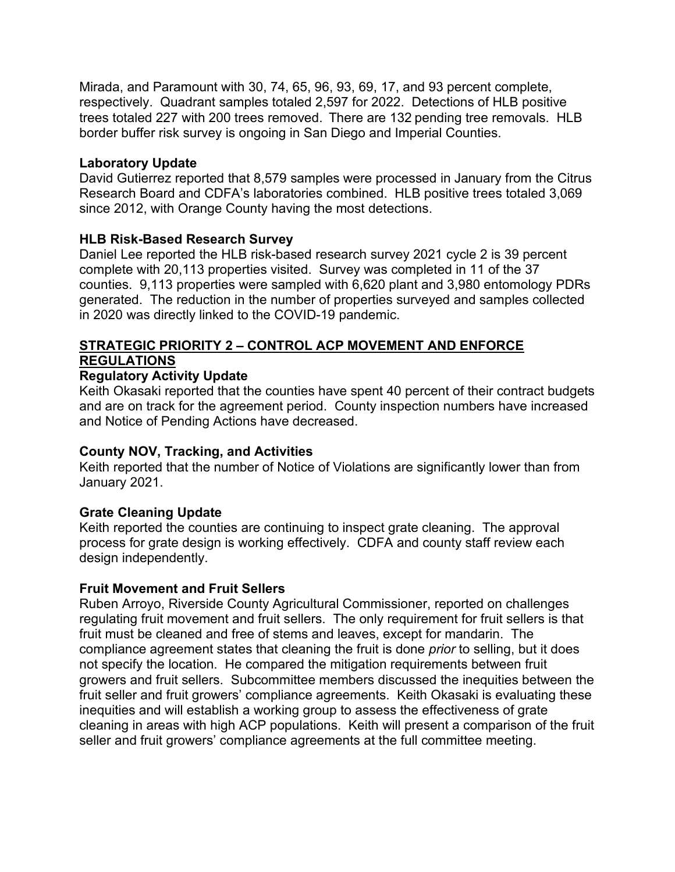Mirada, and Paramount with 30, 74, 65, 96, 93, 69, 17, and 93 percent complete, respectively. Quadrant samples totaled 2,597 for 2022. Detections of HLB positive trees totaled 227 with 200 trees removed. There are 132 pending tree removals. HLB border buffer risk survey is ongoing in San Diego and Imperial Counties.

#### **Laboratory Update**

 since 2012, with Orange County having the most detections. David Gutierrez reported that 8,579 samples were processed in January from the Citrus Research Board and CDFA's laboratories combined. HLB positive trees totaled 3,069

## **HLB Risk-Based Research Survey**

 complete with 20,113 properties visited. Survey was completed in 11 of the 37 counties. 9,113 properties were sampled with 6,620 plant and 3,980 entomology PDRs in 2020 was directly linked to the COVID-19 pandemic. Daniel Lee reported the HLB risk-based research survey 2021 cycle 2 is 39 percent generated. The reduction in the number of properties surveyed and samples collected

## **STRATEGIC PRIORITY 2 – CONTROL ACP MOVEMENT AND ENFORCE REGULATIONS**

## **Regulatory Activity Update**

 Keith Okasaki reported that the counties have spent 40 percent of their contract budgets and are on track for the agreement period. County inspection numbers have increased and Notice of Pending Actions have decreased.

## **County NOV, Tracking, and Activities**

 Keith reported that the number of Notice of Violations are significantly lower than from January 2021.

## **Grate Cleaning Update**

 process for grate design is working effectively. CDFA and county staff review each Keith reported the counties are continuing to inspect grate cleaning. The approval design independently.

#### **Fruit Movement and Fruit Sellers**

 regulating fruit movement and fruit sellers. The only requirement for fruit sellers is that fruit must be cleaned and free of stems and leaves, except for mandarin. The compliance agreement states that cleaning the fruit is done *prior* to selling, but it does growers and fruit sellers. Subcommittee members discussed the inequities between the inequities and will establish a working group to assess the effectiveness of grate cleaning in areas with high ACP populations. Keith will present a comparison of the fruit Ruben Arroyo, Riverside County Agricultural Commissioner, reported on challenges not specify the location. He compared the mitigation requirements between fruit fruit seller and fruit growers' compliance agreements. Keith Okasaki is evaluating these seller and fruit growers' compliance agreements at the full committee meeting.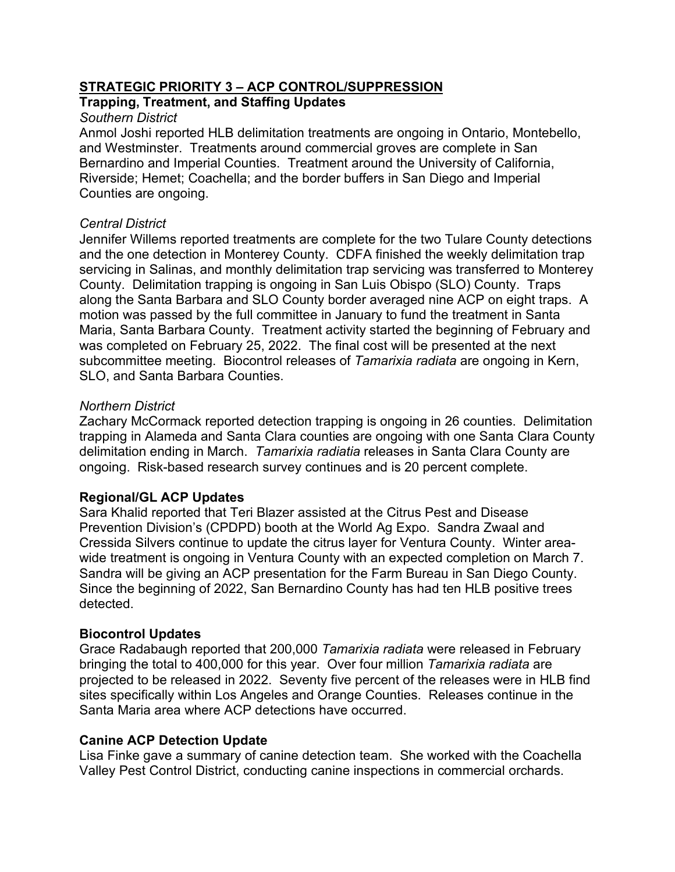## **STRATEGIC PRIORITY 3 – ACP CONTROL/SUPPRESSION**

## **Trapping, Treatment, and Staffing Updates**

#### *Southern District*

 and Westminster. Treatments around commercial groves are complete in San Bernardino and Imperial Counties. Treatment around the University of California, Riverside; Hemet; Coachella; and the border buffers in San Diego and Imperial Anmol Joshi reported HLB delimitation treatments are ongoing in Ontario, Montebello, Counties are ongoing.

## *Central District*

 Jennifer Willems reported treatments are complete for the two Tulare County detections and the one detection in Monterey County. CDFA finished the weekly delimitation trap County. Delimitation trapping is ongoing in San Luis Obispo (SLO) County. Traps along the Santa Barbara and SLO County border averaged nine ACP on eight traps. A motion was passed by the full committee in January to fund the treatment in Santa was completed on February 25, 2022. The final cost will be presented at the next subcommittee meeting. Biocontrol releases of *Tamarixia radiata* are ongoing in Kern, servicing in Salinas, and monthly delimitation trap servicing was transferred to Monterey Maria, Santa Barbara County. Treatment activity started the beginning of February and SLO, and Santa Barbara Counties.

## *Northern District*

 delimitation ending in March. *Tamarixia radiatia* releases in Santa Clara County are ongoing. Risk-based research survey continues and is 20 percent complete. Zachary McCormack reported detection trapping is ongoing in 26 counties. Delimitation trapping in Alameda and Santa Clara counties are ongoing with one Santa Clara County

## **Regional/GL ACP Updates**

 Sara Khalid reported that Teri Blazer assisted at the Citrus Pest and Disease Prevention Division's (CPDPD) booth at the World Ag Expo. Sandra Zwaal and Cressida Silvers continue to update the citrus layer for Ventura County. Winter areawide treatment is ongoing in Ventura County with an expected completion on March 7. Since the beginning of 2022, San Bernardino County has had ten HLB positive trees wide treatment is ongoing in Ventura County with an expected completion on March 7.<br>Sandra will be giving an ACP presentation for the Farm Bureau in San Diego County.<br>Since the beginning of 2022, San Bernardino County has detected.

## **Biocontrol Updates**

 Grace Radabaugh reported that 200,000 *Tamarixia radiata* were released in February bringing the total to 400,000 for this year. Over four million *Tamarixia radiata* are projected to be released in 2022. Seventy five percent of the releases were in HLB find sites specifically within Los Angeles and Orange Counties. Releases continue in the Santa Maria area where ACP detections have occurred.

## **Canine ACP Detection Update**

 Lisa Finke gave a summary of canine detection team. She worked with the Coachella Valley Pest Control District, conducting canine inspections in commercial orchards.